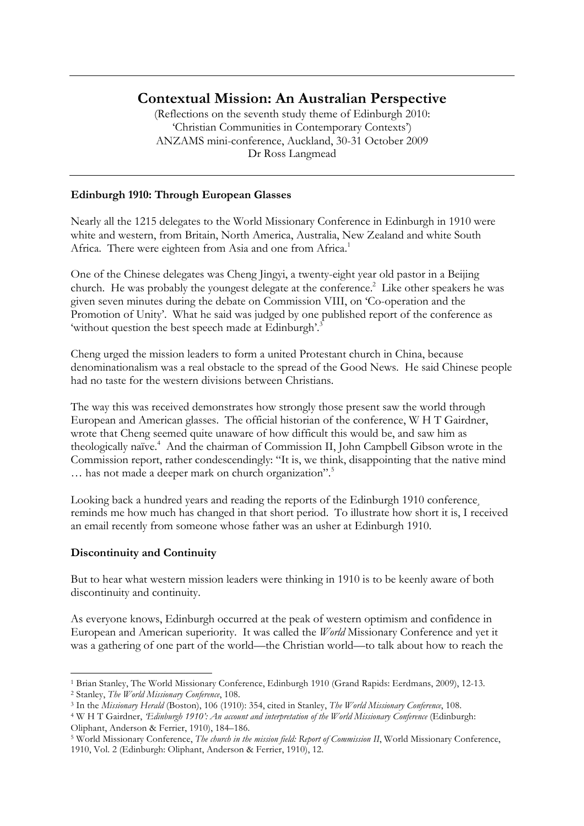# **Contextual Mission: An Australian Perspective**

(Reflections on the seventh study theme of Edinburgh 2010: 'Christian Communities in Contemporary Contexts') ANZAMS mini-conference, Auckland, 30-31 October 2009 Dr Ross Langmead

# **Edinburgh 1910: Through European Glasses**

Nearly all the 1215 delegates to the World Missionary Conference in Edinburgh in 1910 were white and western, from Britain, North America, Australia, New Zealand and white South Africa. There were eighteen from Asia and one from Africa.<sup>1</sup>

One of the Chinese delegates was Cheng Jingyi, a twenty-eight year old pastor in a Beijing church. He was probably the youngest delegate at the conference.<sup>2</sup> Like other speakers he was given seven minutes during the debate on Commission VIII, on 'Co-operation and the Promotion of Unity'. What he said was judged by one published report of the conference as 'without question the best speech made at Edinburgh'.<sup>3</sup>

Cheng urged the mission leaders to form a united Protestant church in China, because denominationalism was a real obstacle to the spread of the Good News. He said Chinese people had no taste for the western divisions between Christians.

The way this was received demonstrates how strongly those present saw the world through European and American glasses. The official historian of the conference, W H T Gairdner, wrote that Cheng seemed quite unaware of how difficult this would be, and saw him as theologically naïve.<sup>4</sup> And the chairman of Commission II, John Campbell Gibson wrote in the Commission report, rather condescendingly: "It is, we think, disappointing that the native mind ... has not made a deeper mark on church organization".<sup>5</sup>

Looking back a hundred years and reading the reports of the Edinburgh 1910 conference¸ reminds me how much has changed in that short period. To illustrate how short it is, I received an email recently from someone whose father was an usher at Edinburgh 1910.

# **Discontinuity and Continuity**

But to hear what western mission leaders were thinking in 1910 is to be keenly aware of both discontinuity and continuity.

As everyone knows, Edinburgh occurred at the peak of western optimism and confidence in European and American superiority. It was called the *World* Missionary Conference and yet it was a gathering of one part of the world—the Christian world—to talk about how to reach the

 <sup>1</sup> Brian Stanley, The World Missionary Conference, Edinburgh 1910 (Grand Rapids: Eerdmans, 2009), 12-13. <sup>2</sup> Stanley, *The World Missionary Conference*, 108.

<sup>3</sup> In the *Missionary Herald* (Boston), 106 (1910): 354, cited in Stanley, *The World Missionary Conference*, 108.

<sup>4</sup> W H T Gairdner, *'Edinburgh 1910': An account and interpretation of the World Missionary Conference* (Edinburgh: Oliphant, Anderson & Ferrier, 1910), 184–186.

<sup>5</sup> World Missionary Conference, *The church in the mission field: Report of Commission II*, World Missionary Conference, 1910, Vol. 2 (Edinburgh: Oliphant, Anderson & Ferrier, 1910), 12.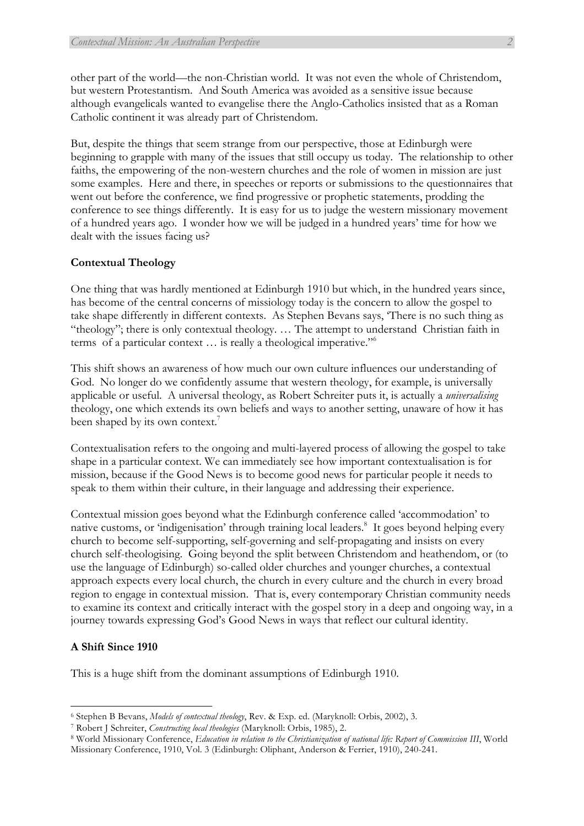other part of the world—the non-Christian world. It was not even the whole of Christendom, but western Protestantism. And South America was avoided as a sensitive issue because although evangelicals wanted to evangelise there the Anglo-Catholics insisted that as a Roman Catholic continent it was already part of Christendom.

But, despite the things that seem strange from our perspective, those at Edinburgh were beginning to grapple with many of the issues that still occupy us today. The relationship to other faiths, the empowering of the non-western churches and the role of women in mission are just some examples. Here and there, in speeches or reports or submissions to the questionnaires that went out before the conference, we find progressive or prophetic statements, prodding the conference to see things differently. It is easy for us to judge the western missionary movement of a hundred years ago. I wonder how we will be judged in a hundred years' time for how we dealt with the issues facing us?

### **Contextual Theology**

One thing that was hardly mentioned at Edinburgh 1910 but which, in the hundred years since, has become of the central concerns of missiology today is the concern to allow the gospel to take shape differently in different contexts. As Stephen Bevans says, 'There is no such thing as "theology"; there is only contextual theology. … The attempt to understand Christian faith in terms of a particular context … is really a theological imperative."6

This shift shows an awareness of how much our own culture influences our understanding of God. No longer do we confidently assume that western theology, for example, is universally applicable or useful. A universal theology, as Robert Schreiter puts it, is actually a *universalising* theology, one which extends its own beliefs and ways to another setting, unaware of how it has been shaped by its own context.<sup>7</sup>

Contextualisation refers to the ongoing and multi-layered process of allowing the gospel to take shape in a particular context. We can immediately see how important contextualisation is for mission, because if the Good News is to become good news for particular people it needs to speak to them within their culture, in their language and addressing their experience.

Contextual mission goes beyond what the Edinburgh conference called 'accommodation' to native customs, or 'indigenisation' through training local leaders.<sup>8</sup> It goes beyond helping every church to become self-supporting, self-governing and self-propagating and insists on every church self-theologising. Going beyond the split between Christendom and heathendom, or (to use the language of Edinburgh) so-called older churches and younger churches, a contextual approach expects every local church, the church in every culture and the church in every broad region to engage in contextual mission. That is, every contemporary Christian community needs to examine its context and critically interact with the gospel story in a deep and ongoing way, in a journey towards expressing God's Good News in ways that reflect our cultural identity.

### **A Shift Since 1910**

This is a huge shift from the dominant assumptions of Edinburgh 1910.

<sup>6</sup> Stephen B Bevans, *Models of contextual theology*, Rev. & Exp. ed. (Maryknoll: Orbis, 2002), 3.

<sup>7</sup> Robert J Schreiter, *Constructing local theologies* (Maryknoll: Orbis, 1985), 2.

<sup>8</sup> World Missionary Conference, *Education in relation to the Christianization of national life: Report of Commission III*, World Missionary Conference, 1910, Vol. 3 (Edinburgh: Oliphant, Anderson & Ferrier, 1910), 240-241.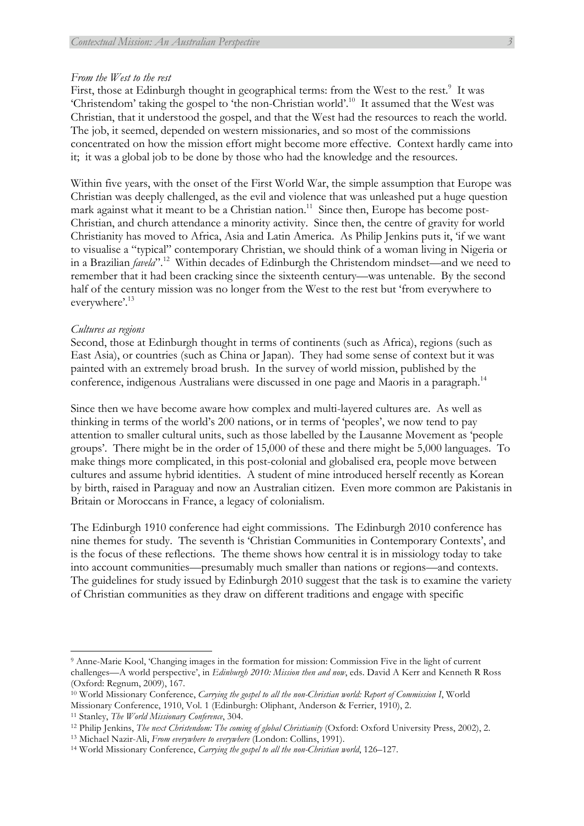#### *From the West to the rest*

First, those at Edinburgh thought in geographical terms: from the West to the rest.<sup>9</sup> It was 'Christendom' taking the gospel to 'the non-Christian world'.10 It assumed that the West was Christian, that it understood the gospel, and that the West had the resources to reach the world. The job, it seemed, depended on western missionaries, and so most of the commissions concentrated on how the mission effort might become more effective. Context hardly came into it; it was a global job to be done by those who had the knowledge and the resources.

Within five years, with the onset of the First World War, the simple assumption that Europe was Christian was deeply challenged, as the evil and violence that was unleashed put a huge question mark against what it meant to be a Christian nation.<sup>11</sup> Since then, Europe has become post-Christian, and church attendance a minority activity. Since then, the centre of gravity for world Christianity has moved to Africa, Asia and Latin America. As Philip Jenkins puts it, 'if we want to visualise a "typical" contemporary Christian, we should think of a woman living in Nigeria or in a Brazilian *favela*".12 Within decades of Edinburgh the Christendom mindset—and we need to remember that it had been cracking since the sixteenth century—was untenable. By the second half of the century mission was no longer from the West to the rest but 'from everywhere to everywhere'.<sup>13</sup>

#### *Cultures as regions*

Second, those at Edinburgh thought in terms of continents (such as Africa), regions (such as East Asia), or countries (such as China or Japan). They had some sense of context but it was painted with an extremely broad brush. In the survey of world mission, published by the conference, indigenous Australians were discussed in one page and Maoris in a paragraph.<sup>14</sup>

Since then we have become aware how complex and multi-layered cultures are. As well as thinking in terms of the world's 200 nations, or in terms of 'peoples', we now tend to pay attention to smaller cultural units, such as those labelled by the Lausanne Movement as 'people groups'. There might be in the order of 15,000 of these and there might be 5,000 languages. To make things more complicated, in this post-colonial and globalised era, people move between cultures and assume hybrid identities. A student of mine introduced herself recently as Korean by birth, raised in Paraguay and now an Australian citizen. Even more common are Pakistanis in Britain or Moroccans in France, a legacy of colonialism.

The Edinburgh 1910 conference had eight commissions. The Edinburgh 2010 conference has nine themes for study. The seventh is 'Christian Communities in Contemporary Contexts', and is the focus of these reflections. The theme shows how central it is in missiology today to take into account communities—presumably much smaller than nations or regions—and contexts. The guidelines for study issued by Edinburgh 2010 suggest that the task is to examine the variety of Christian communities as they draw on different traditions and engage with specific

<sup>9</sup> Anne-Marie Kool, 'Changing images in the formation for mission: Commission Five in the light of current challenges—A world perspective', in *Edinburgh 2010: Mission then and now*, eds. David A Kerr and Kenneth R Ross (Oxford: Regnum, 2009), 167.

<sup>10</sup> World Missionary Conference, *Carrying the gospel to all the non-Christian world: Report of Commission I*, World Missionary Conference, 1910, Vol. 1 (Edinburgh: Oliphant, Anderson & Ferrier, 1910), 2.

<sup>11</sup> Stanley, *The World Missionary Conference*, 304.

<sup>12</sup> Philip Jenkins, *The next Christendom: The coming of global Christianity* (Oxford: Oxford University Press, 2002), 2.

<sup>13</sup> Michael Nazir-Ali, *From everywhere to everywhere* (London: Collins, 1991).

<sup>14</sup> World Missionary Conference, *Carrying the gospel to all the non-Christian world*, 126–127.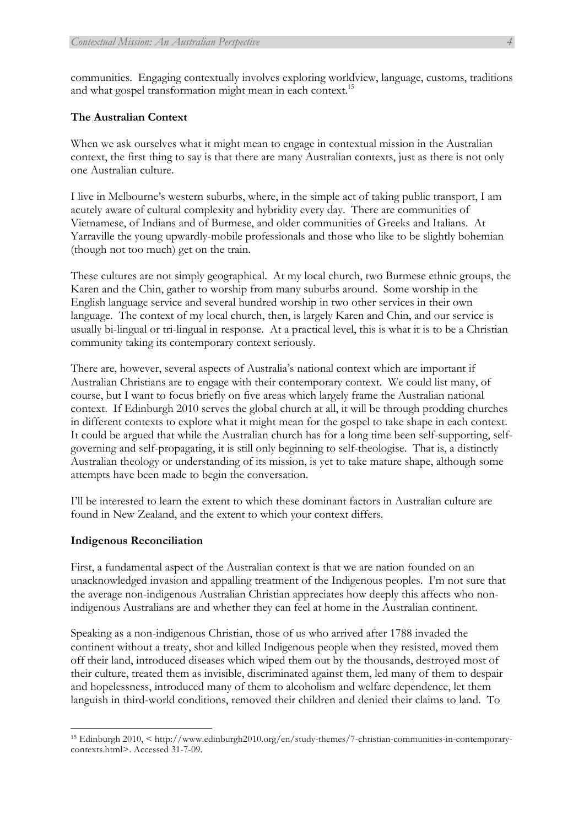communities. Engaging contextually involves exploring worldview, language, customs, traditions and what gospel transformation might mean in each context.<sup>15</sup>

## **The Australian Context**

When we ask ourselves what it might mean to engage in contextual mission in the Australian context, the first thing to say is that there are many Australian contexts, just as there is not only one Australian culture.

I live in Melbourne's western suburbs, where, in the simple act of taking public transport, I am acutely aware of cultural complexity and hybridity every day. There are communities of Vietnamese, of Indians and of Burmese, and older communities of Greeks and Italians. At Yarraville the young upwardly-mobile professionals and those who like to be slightly bohemian (though not too much) get on the train.

These cultures are not simply geographical. At my local church, two Burmese ethnic groups, the Karen and the Chin, gather to worship from many suburbs around. Some worship in the English language service and several hundred worship in two other services in their own language. The context of my local church, then, is largely Karen and Chin, and our service is usually bi-lingual or tri-lingual in response. At a practical level, this is what it is to be a Christian community taking its contemporary context seriously.

There are, however, several aspects of Australia's national context which are important if Australian Christians are to engage with their contemporary context. We could list many, of course, but I want to focus briefly on five areas which largely frame the Australian national context. If Edinburgh 2010 serves the global church at all, it will be through prodding churches in different contexts to explore what it might mean for the gospel to take shape in each context. It could be argued that while the Australian church has for a long time been self-supporting, selfgoverning and self-propagating, it is still only beginning to self-theologise. That is, a distinctly Australian theology or understanding of its mission, is yet to take mature shape, although some attempts have been made to begin the conversation.

I'll be interested to learn the extent to which these dominant factors in Australian culture are found in New Zealand, and the extent to which your context differs.

#### **Indigenous Reconciliation**

First, a fundamental aspect of the Australian context is that we are nation founded on an unacknowledged invasion and appalling treatment of the Indigenous peoples. I'm not sure that the average non-indigenous Australian Christian appreciates how deeply this affects who nonindigenous Australians are and whether they can feel at home in the Australian continent.

Speaking as a non-indigenous Christian, those of us who arrived after 1788 invaded the continent without a treaty, shot and killed Indigenous people when they resisted, moved them off their land, introduced diseases which wiped them out by the thousands, destroyed most of their culture, treated them as invisible, discriminated against them, led many of them to despair and hopelessness, introduced many of them to alcoholism and welfare dependence, let them languish in third-world conditions, removed their children and denied their claims to land. To

<sup>15</sup> Edinburgh 2010, < http://www.edinburgh2010.org/en/study-themes/7-christian-communities-in-contemporarycontexts.html>. Accessed 31-7-09.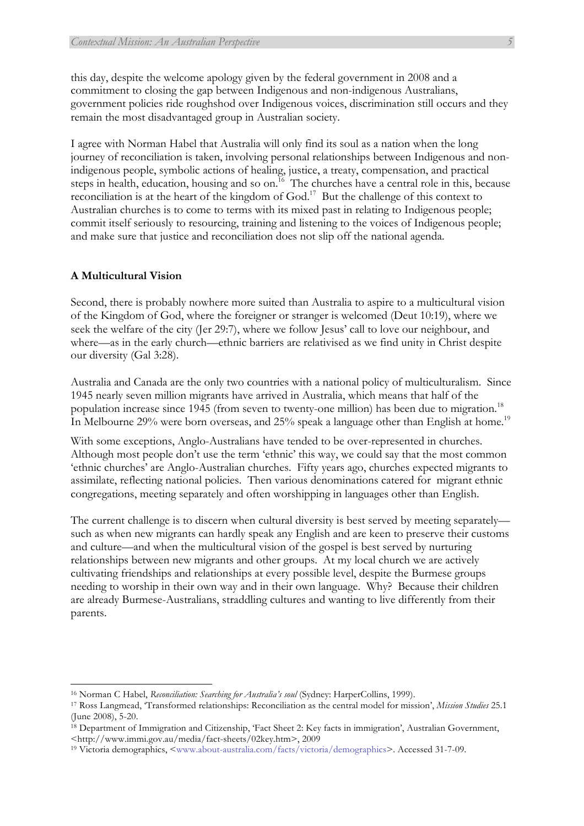this day, despite the welcome apology given by the federal government in 2008 and a commitment to closing the gap between Indigenous and non-indigenous Australians, government policies ride roughshod over Indigenous voices, discrimination still occurs and they remain the most disadvantaged group in Australian society.

I agree with Norman Habel that Australia will only find its soul as a nation when the long journey of reconciliation is taken, involving personal relationships between Indigenous and nonindigenous people, symbolic actions of healing, justice, a treaty, compensation, and practical steps in health, education, housing and so on.<sup>16</sup> The churches have a central role in this, because reconciliation is at the heart of the kingdom of God.17 But the challenge of this context to Australian churches is to come to terms with its mixed past in relating to Indigenous people; commit itself seriously to resourcing, training and listening to the voices of Indigenous people; and make sure that justice and reconciliation does not slip off the national agenda.

# **A Multicultural Vision**

Second, there is probably nowhere more suited than Australia to aspire to a multicultural vision of the Kingdom of God, where the foreigner or stranger is welcomed (Deut 10:19), where we seek the welfare of the city (Jer 29:7), where we follow Jesus' call to love our neighbour, and where—as in the early church—ethnic barriers are relativised as we find unity in Christ despite our diversity (Gal 3:28).

Australia and Canada are the only two countries with a national policy of multiculturalism. Since 1945 nearly seven million migrants have arrived in Australia, which means that half of the population increase since 1945 (from seven to twenty-one million) has been due to migration.<sup>18</sup> In Melbourne 29% were born overseas, and 25% speak a language other than English at home.<sup>19</sup>

With some exceptions, Anglo-Australians have tended to be over-represented in churches. Although most people don't use the term 'ethnic' this way, we could say that the most common 'ethnic churches' are Anglo-Australian churches. Fifty years ago, churches expected migrants to assimilate, reflecting national policies. Then various denominations catered for migrant ethnic congregations, meeting separately and often worshipping in languages other than English.

The current challenge is to discern when cultural diversity is best served by meeting separately such as when new migrants can hardly speak any English and are keen to preserve their customs and culture—and when the multicultural vision of the gospel is best served by nurturing relationships between new migrants and other groups. At my local church we are actively cultivating friendships and relationships at every possible level, despite the Burmese groups needing to worship in their own way and in their own language. Why? Because their children are already Burmese-Australians, straddling cultures and wanting to live differently from their parents.

<sup>16</sup> Norman C Habel, *Reconciliation: Searching for Australia's soul* (Sydney: HarperCollins, 1999).

<sup>17</sup> Ross Langmead, 'Transformed relationships: Reconciliation as the central model for mission', *Mission Studies* 25.1 (June 2008), 5-20.

<sup>18</sup> Department of Immigration and Citizenship, 'Fact Sheet 2: Key facts in immigration', Australian Government, <http://www.immi.gov.au/media/fact-sheets/02key.htm>, 2009

<sup>19</sup> Victoria demographics, <www.about-australia.com/facts/victoria/demographics>. Accessed 31-7-09.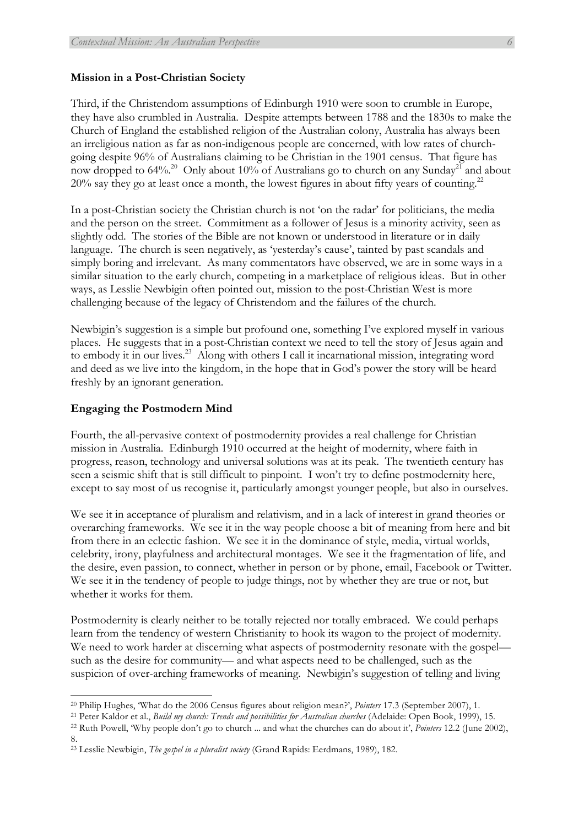#### **Mission in a Post-Christian Society**

Third, if the Christendom assumptions of Edinburgh 1910 were soon to crumble in Europe, they have also crumbled in Australia. Despite attempts between 1788 and the 1830s to make the Church of England the established religion of the Australian colony, Australia has always been an irreligious nation as far as non-indigenous people are concerned, with low rates of churchgoing despite 96% of Australians claiming to be Christian in the 1901 census. That figure has now dropped to 64%.<sup>20</sup> Only about 10% of Australians go to church on any Sunday<sup>21</sup> and about 20% say they go at least once a month, the lowest figures in about fifty years of counting.<sup>22</sup>

In a post-Christian society the Christian church is not 'on the radar' for politicians, the media and the person on the street. Commitment as a follower of Jesus is a minority activity, seen as slightly odd. The stories of the Bible are not known or understood in literature or in daily language. The church is seen negatively, as 'yesterday's cause', tainted by past scandals and simply boring and irrelevant. As many commentators have observed, we are in some ways in a similar situation to the early church, competing in a marketplace of religious ideas. But in other ways, as Lesslie Newbigin often pointed out, mission to the post-Christian West is more challenging because of the legacy of Christendom and the failures of the church.

Newbigin's suggestion is a simple but profound one, something I've explored myself in various places. He suggests that in a post-Christian context we need to tell the story of Jesus again and to embody it in our lives.<sup>23</sup> Along with others I call it incarnational mission, integrating word and deed as we live into the kingdom, in the hope that in God's power the story will be heard freshly by an ignorant generation.

#### **Engaging the Postmodern Mind**

Fourth, the all-pervasive context of postmodernity provides a real challenge for Christian mission in Australia. Edinburgh 1910 occurred at the height of modernity, where faith in progress, reason, technology and universal solutions was at its peak. The twentieth century has seen a seismic shift that is still difficult to pinpoint. I won't try to define postmodernity here, except to say most of us recognise it, particularly amongst younger people, but also in ourselves.

We see it in acceptance of pluralism and relativism, and in a lack of interest in grand theories or overarching frameworks. We see it in the way people choose a bit of meaning from here and bit from there in an eclectic fashion. We see it in the dominance of style, media, virtual worlds, celebrity, irony, playfulness and architectural montages. We see it the fragmentation of life, and the desire, even passion, to connect, whether in person or by phone, email, Facebook or Twitter. We see it in the tendency of people to judge things, not by whether they are true or not, but whether it works for them.

Postmodernity is clearly neither to be totally rejected nor totally embraced. We could perhaps learn from the tendency of western Christianity to hook its wagon to the project of modernity. We need to work harder at discerning what aspects of postmodernity resonate with the gospel such as the desire for community— and what aspects need to be challenged, such as the suspicion of over-arching frameworks of meaning. Newbigin's suggestion of telling and living

<sup>20</sup> Philip Hughes, 'What do the 2006 Census figures about religion mean?', *Pointers* 17.3 (September 2007), 1.

<sup>21</sup> Peter Kaldor et al., *Build my church: Trends and possibilities for Australian churches* (Adelaide: Open Book, 1999), 15.

<sup>22</sup> Ruth Powell, 'Why people don't go to church ... and what the churches can do about it', *Pointers* 12.2 (June 2002), 8.

<sup>23</sup> Lesslie Newbigin, *The gospel in a pluralist society* (Grand Rapids: Eerdmans, 1989), 182.